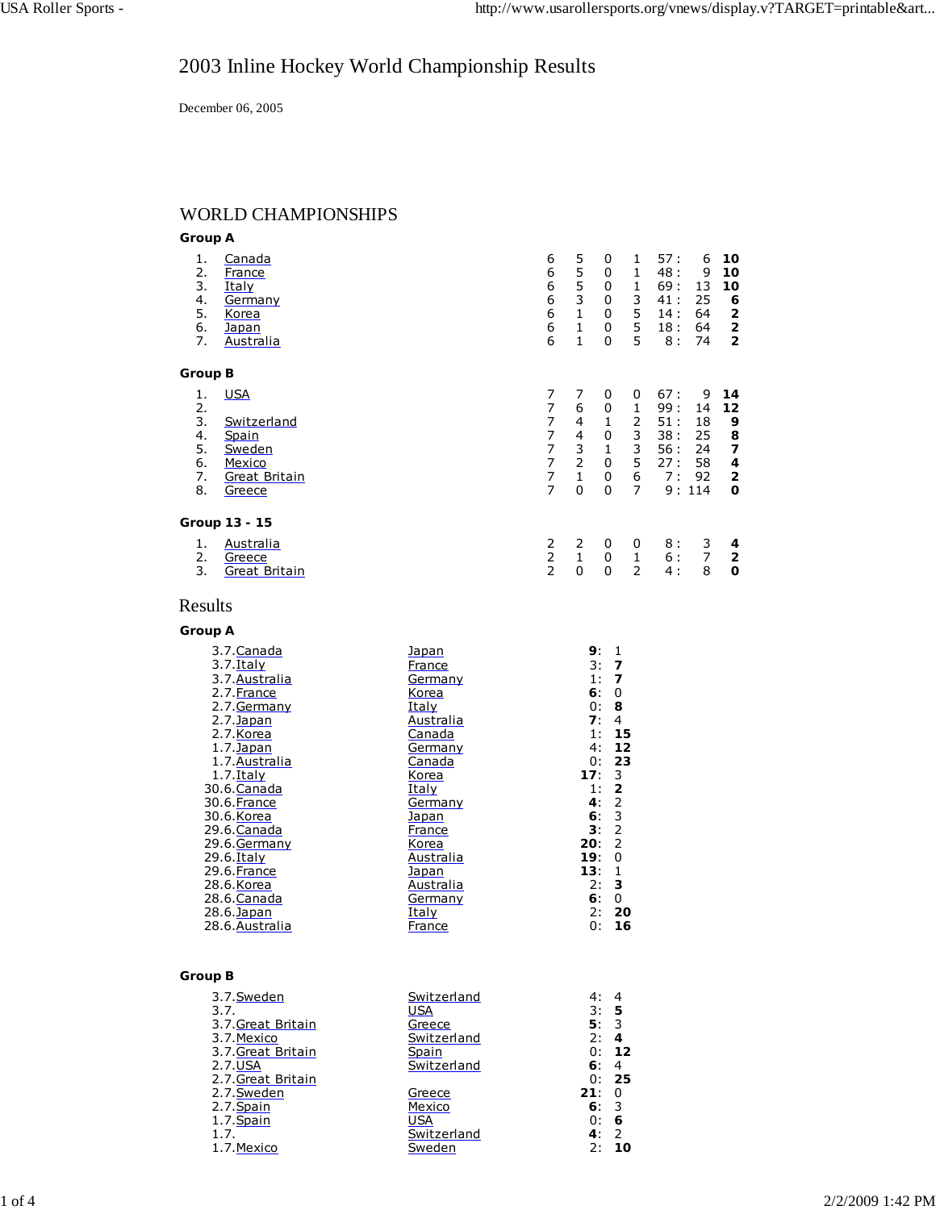# 2003 Inline Hockey World Championship Results

December 06, 2005

## WORLD CHAMPIONSHIPS

| <b>Group A</b>                               |                                                                                                                                                                                                                                                         |                                                                                                                                                                |                                                                                                                                 |                                                                           |                                                                                                                                                                                                                                              |                                                                           |                                              |                                                |                                                                           |
|----------------------------------------------|---------------------------------------------------------------------------------------------------------------------------------------------------------------------------------------------------------------------------------------------------------|----------------------------------------------------------------------------------------------------------------------------------------------------------------|---------------------------------------------------------------------------------------------------------------------------------|---------------------------------------------------------------------------|----------------------------------------------------------------------------------------------------------------------------------------------------------------------------------------------------------------------------------------------|---------------------------------------------------------------------------|----------------------------------------------|------------------------------------------------|---------------------------------------------------------------------------|
| 1.<br>2.<br>3.<br>4.<br>5.<br>6.<br>7.       | Canada<br>France<br>Italy<br>Germany<br>Korea<br>Japan<br>Australia                                                                                                                                                                                     |                                                                                                                                                                | 6<br>6<br>6<br>6<br>6<br>6<br>6                                                                                                 | 5<br>5<br>5<br>3<br>$\mathbf{1}$<br>$\mathbf{1}$<br>$\mathbf{1}$          | 0<br>0<br>0<br>0<br>0<br>0<br>0                                                                                                                                                                                                              | 1<br>$\mathbf{1}$<br>$\mathbf{1}$<br>3<br>5<br>5<br>5                     | 57:<br>48:<br>69:<br>41:<br>14:<br>18:<br>8: | 6<br>9<br>13<br>25<br>64<br>64<br>74           | 10<br>10<br>10<br>6<br>$\overline{2}$<br>$\overline{2}$<br>$\overline{2}$ |
| <b>Group B</b>                               |                                                                                                                                                                                                                                                         |                                                                                                                                                                |                                                                                                                                 |                                                                           |                                                                                                                                                                                                                                              |                                                                           |                                              |                                                |                                                                           |
| 1.<br>2.<br>3.<br>4.<br>5.<br>6.<br>7.<br>8. | <b>USA</b><br>Switzerland<br>Spain<br>Sweden<br>Mexico<br><b>Great Britain</b><br>Greece                                                                                                                                                                |                                                                                                                                                                | $\overline{7}$<br>7<br>$\overline{7}$<br>$\overline{7}$<br>$\overline{7}$<br>$\overline{7}$<br>$\overline{7}$<br>$\overline{7}$ | 7<br>6<br>4<br>$\overline{4}$<br>3<br>$\overline{2}$<br>$\mathbf{1}$<br>0 | 0<br>0<br>$\mathbf{1}$<br>0<br>$\mathbf{1}$<br>0<br>0<br>0                                                                                                                                                                                   | 0<br>$\mathbf{1}$<br>$\overline{2}$<br>3<br>3<br>5<br>6<br>$\overline{7}$ | 67:<br>99:<br>51:<br>38:<br>56:<br>27:<br>7: | 9<br>14<br>18<br>25<br>24<br>58<br>92<br>9:114 | 14<br>12<br>9<br>8<br>7<br>4<br>2<br>0                                    |
|                                              | Group 13 - 15                                                                                                                                                                                                                                           |                                                                                                                                                                |                                                                                                                                 |                                                                           |                                                                                                                                                                                                                                              |                                                                           |                                              |                                                |                                                                           |
| 1.<br>2.<br>3.                               | <b>Australia</b><br>Greece<br><b>Great Britain</b>                                                                                                                                                                                                      |                                                                                                                                                                | 2<br>$\overline{2}$<br>$\overline{2}$                                                                                           | 2<br>$\mathbf{1}$<br>0                                                    | 0<br>0<br>0                                                                                                                                                                                                                                  | 0<br>$\mathbf{1}$<br>$\overline{2}$                                       | 8:<br>6:<br>4 :                              | 3<br>$\overline{7}$<br>8                       | 4<br>$\overline{2}$<br>0                                                  |
| Results                                      |                                                                                                                                                                                                                                                         |                                                                                                                                                                |                                                                                                                                 |                                                                           |                                                                                                                                                                                                                                              |                                                                           |                                              |                                                |                                                                           |
| <b>Group A</b>                               |                                                                                                                                                                                                                                                         |                                                                                                                                                                |                                                                                                                                 |                                                                           |                                                                                                                                                                                                                                              |                                                                           |                                              |                                                |                                                                           |
|                                              | 3.7. Canada<br>$3.7.$ Italy<br>3.7. Australia<br>2.7. France<br>2.7. Germany<br>$2.7$ . Japan<br>2.7. Korea<br>1.7. Japan<br>1.7. Australia<br>$1.7.$ Italy<br>30.6. Canada<br>30.6. France<br>30.6.Korea<br>29.6.Canada<br>29.6.Germany<br>29.6. Italy | Japan<br>France<br>Germany<br>Korea<br>Italy<br>Australia<br>Canada<br>Germany<br>Canada<br>Korea<br>Italy<br>Germany<br>Japan<br>France<br>Korea<br>Australia |                                                                                                                                 | 17:<br>20:<br>19:                                                         | 9:<br>1<br>3:<br>$\overline{7}$<br>1:<br>$\overline{7}$<br>6:<br>0<br>0:<br>8<br>7:<br>$\overline{4}$<br>1:<br>4:<br>0:<br>3<br>$\overline{\mathbf{2}}$<br>1:<br>4:<br>$\mathbf 2$<br>3<br>6:<br>$\overline{2}$<br>3:<br>$\overline{2}$<br>0 | 15<br>12<br>23                                                            |                                              |                                                |                                                                           |

| 29.6.Italy     | Australia | 19:0 |       |
|----------------|-----------|------|-------|
| 29.6. France   | Japan     | 13:  |       |
| 28.6.Korea     | Australia | 2:   | -3    |
| 28.6.Canada    | Germany   | 6:   |       |
| 28.6.Japan     | Italy     | 2:   | - 20  |
| 28.6.Australia | France    |      | 0: 16 |
|                |           |      |       |
|                |           |      |       |

#### **Group B**

| 3.7.Sweden         | Switzerland | 4:   |      |
|--------------------|-------------|------|------|
| 3.7.               | USA         | 3:5  |      |
| 3.7. Great Britain | Greece      | 5:3  |      |
| 3.7.Mexico         | Switzerland | 2:   | -4   |
| 3.7. Great Britain | Spain       | 0:   | 12   |
| 2.7.USA            | Switzerland | 6: 4 |      |
| 2.7. Great Britain |             |      | 0:25 |
| 2.7. Sweden        | Greece      | 21:  | 0    |
| 2.7. Spain         | Mexico      | 6:3  |      |
| 1.7. Spain         | USA         | 0:   | 6    |
| 1.7.               | Switzerland | 4:   | -2   |
| 1.7. Mexico        | Sweden      | 2:   | 10   |
|                    |             |      |      |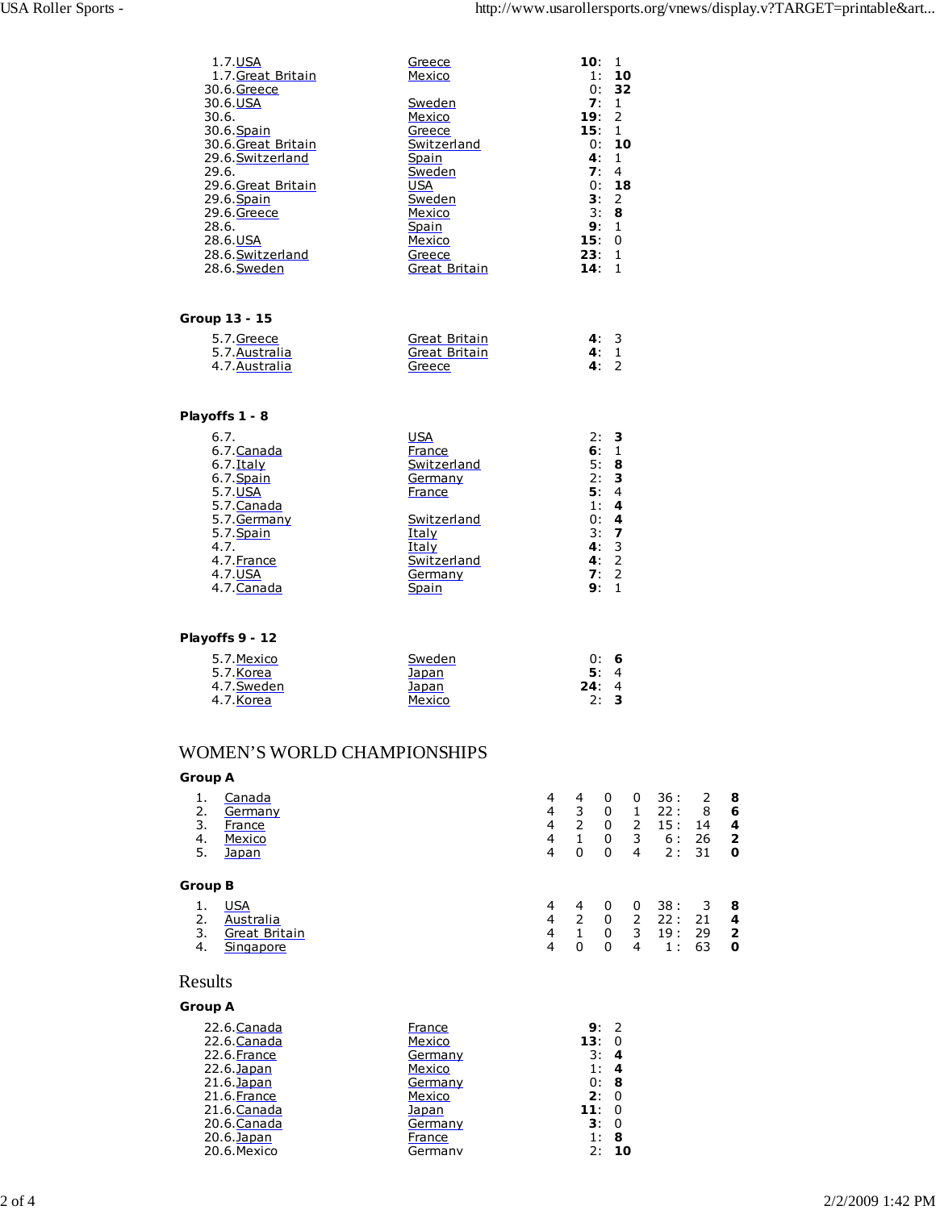| 1.7.USA                           | Greece                  | 10:        | $\mathbf{1}$                   |
|-----------------------------------|-------------------------|------------|--------------------------------|
| 1.7. Great Britain<br>30.6.Greece | Mexico                  | 1:<br>0:   | 10<br>32                       |
| 30.6.USA                          | Sweden                  | 7:         | $\mathbf{1}$                   |
| 30.6.                             | Mexico                  | 19:2       |                                |
| 30.6. Spain                       | Greece                  | 15:        | $\mathbf{1}$                   |
| 30.6.Great Britain                | Switzerland             | 0:         | 10                             |
| 29.6.Switzerland<br>29.6.         | Spain<br>Sweden         | 4:<br>7:   | $\mathbf{1}$<br>$\overline{4}$ |
| 29.6.Great Britain                | <b>USA</b>              | 0:         | 18                             |
| 29.6. Spain                       | Sweden                  | 3:         | 2                              |
| 29.6.Greece                       | Mexico                  | 3:         | 8                              |
| 28.6.                             | Spain                   | 9:         | $\mathbf{1}$                   |
| 28.6.USA                          | Mexico                  | 15:        | $\Omega$                       |
| 28.6.Switzerland<br>28.6.Sweden   | Greece<br>Great Britain | 23:<br>14: | $\mathbf{1}$<br>$\mathbf{1}$   |
|                                   |                         |            |                                |
|                                   |                         |            |                                |
| Group 13 - 15                     |                         |            |                                |
| 5.7.Greece                        | Great Britain           | 4:3        |                                |
| 5.7. Australia                    | Great Britain           | 4:         | 1                              |
| 4.7. Australia                    | Greece                  | 4:         | $\mathcal{P}$                  |
|                                   |                         |            |                                |
| Playoffs 1 - 8                    |                         |            |                                |
| 6.7.                              | <b>USA</b>              | 2:         | 3                              |
| 6.7. Canada                       | France                  | 6:         | $\mathbf{1}$                   |
| $6.7$ . Italy                     | Switzerland             | 5: 8       |                                |
| $6.7.$ Spain                      | Germany                 | 2:         | 3                              |
| 5.7.USA                           | France                  | 5:         | $\overline{4}$                 |
| 5.7. Canada                       |                         | 1:<br>0:4  | 4                              |
| 5.7. Germany<br>5.7. Spain        | Switzerland<br>Italy    | 3:7        |                                |
| 4.7.                              | Italy                   | 4:         | 3                              |
| 4.7. France                       | Switzerland             | 4:         | $\overline{2}$                 |
| 4.7.USA                           | Germany                 | 7:         | $\overline{2}$                 |
| 4.7. Canada                       | Spain                   | 9:         | $\mathbf{1}$                   |
|                                   |                         |            |                                |
| $M = 16.6$                        |                         |            |                                |
|                                   |                         |            |                                |

#### **Playoffs 9 - 12**

| 5.7. Mexico | Sweden | 0: 6 |  |
|-------------|--------|------|--|
| 5.7.Korea   | Japan  | 5:4  |  |
| 4.7.Sweden  | Japan  | 24:4 |  |
| 4.7.Korea   | Mexico | 2:3  |  |

### WOMEN'S WORLD CHAMPIONSHIPS

#### **Group A** 1. Canada 4 4 0 0 36 : 2 **8** 1. Canada<br>
2. Germany 4 3 0 1 22 : 8 6<br>
3. <u>France</u> 4 2 0 2 15 : 14 **4**<br>
4 1 0 3 6 : 26 **2**<br>
5. Japan 4 0 0 4 2 : 31 **0** 3. France 4 2 0 2 15 : 14<br>
4 <u>Mexico</u> 4 1 0 3 6 : 26<br>
5. <u>Japan</u> 4 0 0 4 2 : 31 4. Mexico 4 1 0 3 6 : 26 **2** 5. Japan 4 0 0 4 2 : 31 **0 Group B** 1. USA<br>
2. <u>Australia</u><br>
3. <u>Great Britain</u><br>
4. 2 0 2 22: 21 4<br>
4 1 0 3 19: 29 2<br>
4 0 0 4 1: 63 0 2. Australia 4 2 0 2 22 : 21 **4** 3. Great Britain 4 1 0 3 19 : 29 **2** 4. Singapore 4 0 0 4 1 : 63 **0**

### Results

#### **Group A**

| France  | 9.  |    |
|---------|-----|----|
| Mexico  | 13: |    |
| Germany | 3:  | 4  |
| Mexico  | 1:  |    |
| Germany | 0:  | 8  |
| Mexico  | 2:  |    |
| Japan   | 11: |    |
| Germany | 3:  | O  |
| France  | 1:  | 8  |
| Germany | 2:  | 10 |
|         |     |    |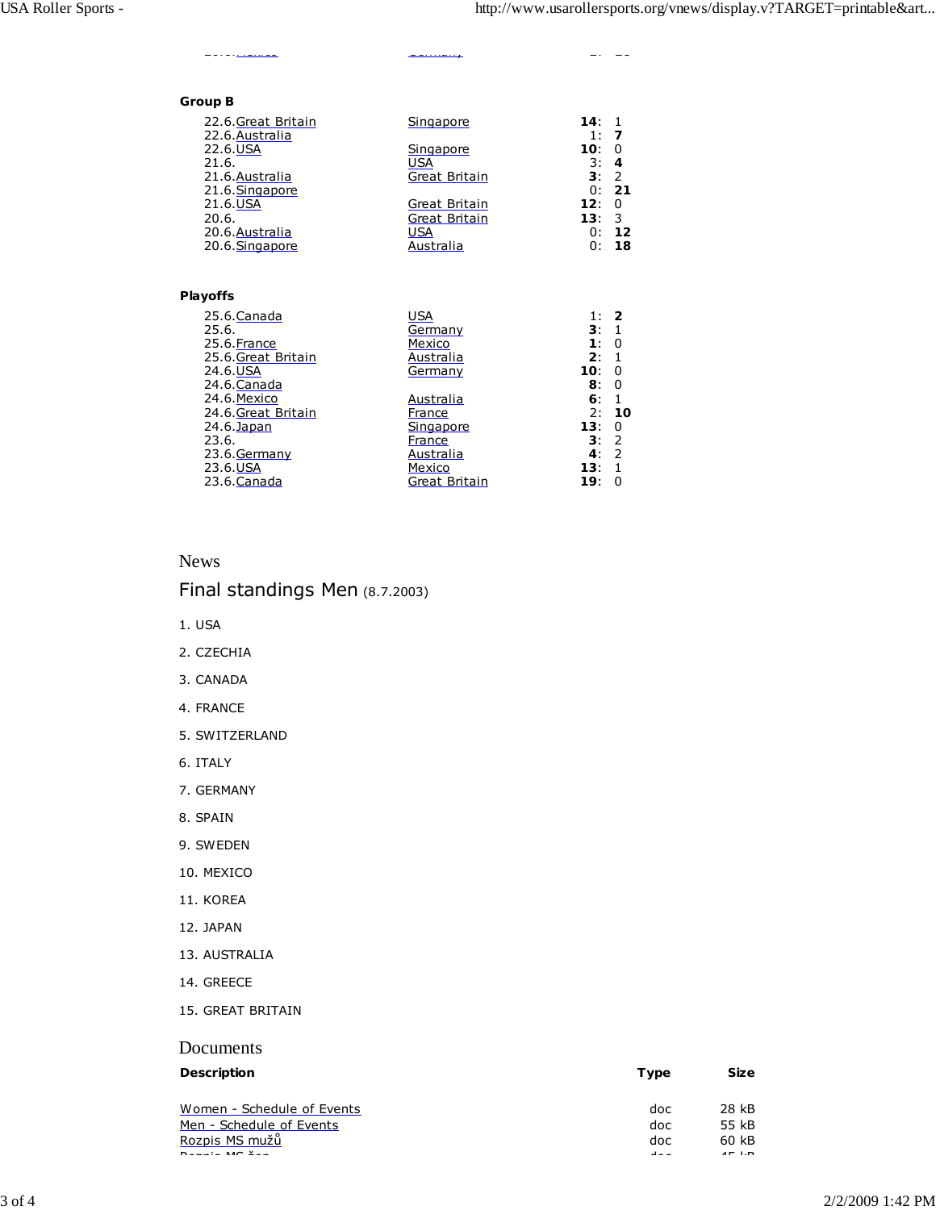## **Group B**

| uv o               |               |             |                |
|--------------------|---------------|-------------|----------------|
| 22.6.Great Britain | Singapore     | 14:         |                |
| 22.6.Australia     |               | 1:          |                |
| 22.6.USA           | Singapore     | 10:         | $\overline{0}$ |
| 21.6.              | USA           | 3:          | -4             |
| 21.6. Australia    | Great Britain | $3^{\cdot}$ | -2             |
| 21.6.Singapore     |               | 0:          | -21            |
| 21.6.USA           | Great Britain | 12:         | - 0            |
| 20.6.              | Great Britain | 13:         | - 3            |
| 20.6.Australia     | USA           | 0:          | 12             |
| 20.6.Singapore     | Australia     | 0:          | 18             |
|                    |               |             |                |
|                    |               |             |                |

20.6.Mexico Germany 2: **10**

#### **Playoffs**

| USA           | 1:             | 2  |
|---------------|----------------|----|
| Germany       | 3:1            |    |
| Mexico        | $\mathbf{1}$ : | 0  |
| Australia     | 2:             | -1 |
| Germany       | 10:            | 0  |
|               | 8:             | 0  |
| Australia     | 6:             | 1  |
| France        | 2:             | 10 |
| Singapore     | 13:            | 0  |
| France        | 3:2            |    |
| Australia     | 4:             | 2  |
| Mexico        | 13:            | -1 |
| Great Britain | 19:            | 0  |
|               |                |    |

#### News

## Final standings Men (8.7.2003)

- 1. USA
- 2. CZECHIA
- 3. CANADA
- 4. FRANCE
- 5. SWITZERLAND
- 6. ITALY
- 7. GERMANY
- 8. SPAIN
- 9. SWEDEN
- 10. MEXICO
- 11. KOREA
- 12. JAPAN
- 13. AUSTRALIA
- 14. GREECE
- 15. GREAT BRITAIN

#### Documents

#### **Description Size** Size

| Women - Schedule of Events | doc     | 28 kB   |
|----------------------------|---------|---------|
| Men - Schedule of Events   | doc.    | 55 kB   |
| Rozpis MS mužů             | doc     | 60 kB   |
| $D = -12$ MC $2 - 1$       | al a la | $AP$ LD |

| Women - Schedule of Events | doc  | 28 kB   |
|----------------------------|------|---------|
| Men - Schedule of Events   | doc  | 55 kB   |
| Rozpis MS mužů             | doc  | 60 kB   |
| $D = -1 - M + 2 -$         | $-1$ | $AP$ LD |
|                            |      |         |